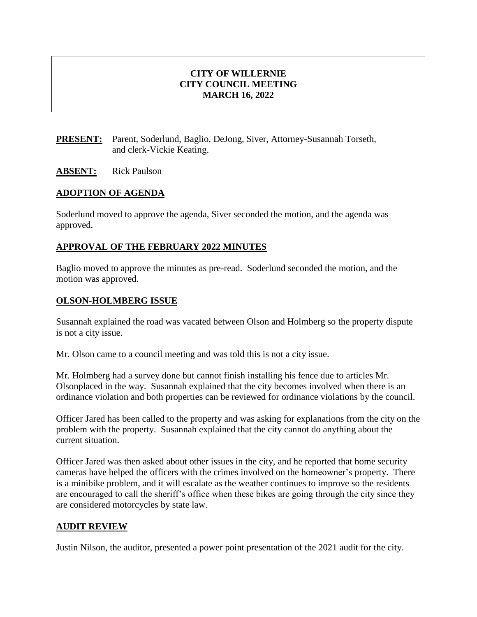## **CITY OF WILLERNIE CITY COUNCIL MEETING MARCH 16, 2022**

**PRESENT:** Parent, Soderlund, Baglio, DeJong, Siver, Attorney-Susannah Torseth, and clerk-Vickie Keating.

#### **ABSENT:** Rick Paulson

#### **ADOPTION OF AGENDA**

Soderlund moved to approve the agenda, Siver seconded the motion, and the agenda was approved.

#### **APPROVAL OF THE FEBRUARY 2022 MINUTES**

Baglio moved to approve the minutes as pre-read. Soderlund seconded the motion, and the motion was approved.

#### **OLSON-HOLMBERG ISSUE**

Susannah explained the road was vacated between Olson and Holmberg so the property dispute is not a city issue.

Mr. Olson came to a council meeting and was told this is not a city issue.

Mr. Holmberg had a survey done but cannot finish installing his fence due to articles Mr. Olsonplaced in the way. Susannah explained that the city becomes involved when there is an ordinance violation and both properties can be reviewed for ordinance violations by the council.

Officer Jared has been called to the property and was asking for explanations from the city on the problem with the property. Susannah explained that the city cannot do anything about the current situation.

Officer Jared was then asked about other issues in the city, and he reported that home security cameras have helped the officers with the crimes involved on the homeowner's property. There is a minibike problem, and it will escalate as the weather continues to improve so the residents are encouraged to call the sheriff's office when these bikes are going through the city since they are considered motorcycles by state law.

#### **AUDIT REVIEW**

Justin Nilson, the auditor, presented a power point presentation of the 2021 audit for the city.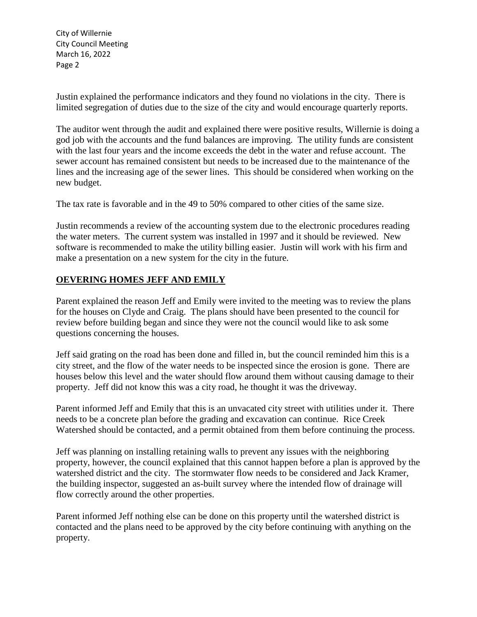Justin explained the performance indicators and they found no violations in the city. There is limited segregation of duties due to the size of the city and would encourage quarterly reports.

The auditor went through the audit and explained there were positive results, Willernie is doing a god job with the accounts and the fund balances are improving. The utility funds are consistent with the last four years and the income exceeds the debt in the water and refuse account. The sewer account has remained consistent but needs to be increased due to the maintenance of the lines and the increasing age of the sewer lines. This should be considered when working on the new budget.

The tax rate is favorable and in the 49 to 50% compared to other cities of the same size.

Justin recommends a review of the accounting system due to the electronic procedures reading the water meters. The current system was installed in 1997 and it should be reviewed. New software is recommended to make the utility billing easier. Justin will work with his firm and make a presentation on a new system for the city in the future.

## **OEVERING HOMES JEFF AND EMILY**

Parent explained the reason Jeff and Emily were invited to the meeting was to review the plans for the houses on Clyde and Craig. The plans should have been presented to the council for review before building began and since they were not the council would like to ask some questions concerning the houses.

Jeff said grating on the road has been done and filled in, but the council reminded him this is a city street, and the flow of the water needs to be inspected since the erosion is gone. There are houses below this level and the water should flow around them without causing damage to their property. Jeff did not know this was a city road, he thought it was the driveway.

Parent informed Jeff and Emily that this is an unvacated city street with utilities under it. There needs to be a concrete plan before the grading and excavation can continue. Rice Creek Watershed should be contacted, and a permit obtained from them before continuing the process.

Jeff was planning on installing retaining walls to prevent any issues with the neighboring property, however, the council explained that this cannot happen before a plan is approved by the watershed district and the city. The stormwater flow needs to be considered and Jack Kramer, the building inspector, suggested an as-built survey where the intended flow of drainage will flow correctly around the other properties.

Parent informed Jeff nothing else can be done on this property until the watershed district is contacted and the plans need to be approved by the city before continuing with anything on the property.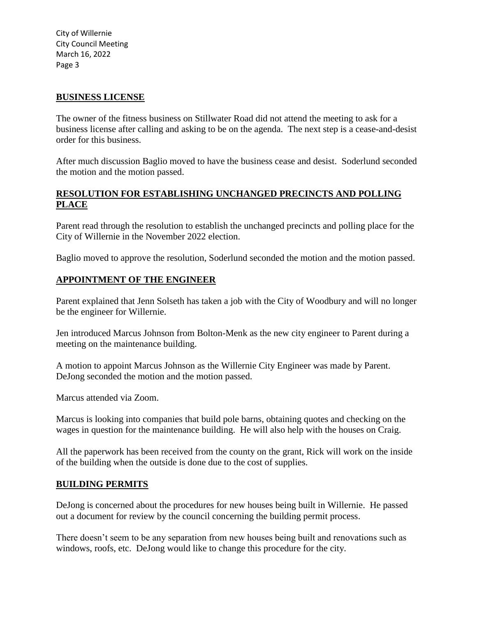#### **BUSINESS LICENSE**

The owner of the fitness business on Stillwater Road did not attend the meeting to ask for a business license after calling and asking to be on the agenda. The next step is a cease-and-desist order for this business.

After much discussion Baglio moved to have the business cease and desist. Soderlund seconded the motion and the motion passed.

## **RESOLUTION FOR ESTABLISHING UNCHANGED PRECINCTS AND POLLING PLACE**

Parent read through the resolution to establish the unchanged precincts and polling place for the City of Willernie in the November 2022 election.

Baglio moved to approve the resolution, Soderlund seconded the motion and the motion passed.

## **APPOINTMENT OF THE ENGINEER**

Parent explained that Jenn Solseth has taken a job with the City of Woodbury and will no longer be the engineer for Willernie.

Jen introduced Marcus Johnson from Bolton-Menk as the new city engineer to Parent during a meeting on the maintenance building.

A motion to appoint Marcus Johnson as the Willernie City Engineer was made by Parent. DeJong seconded the motion and the motion passed.

Marcus attended via Zoom.

Marcus is looking into companies that build pole barns, obtaining quotes and checking on the wages in question for the maintenance building. He will also help with the houses on Craig.

All the paperwork has been received from the county on the grant, Rick will work on the inside of the building when the outside is done due to the cost of supplies.

## **BUILDING PERMITS**

DeJong is concerned about the procedures for new houses being built in Willernie. He passed out a document for review by the council concerning the building permit process.

There doesn't seem to be any separation from new houses being built and renovations such as windows, roofs, etc. DeJong would like to change this procedure for the city.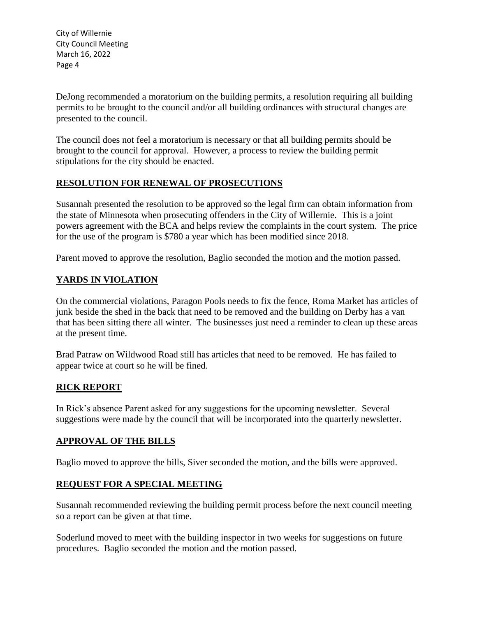DeJong recommended a moratorium on the building permits, a resolution requiring all building permits to be brought to the council and/or all building ordinances with structural changes are presented to the council.

The council does not feel a moratorium is necessary or that all building permits should be brought to the council for approval. However, a process to review the building permit stipulations for the city should be enacted.

## **RESOLUTION FOR RENEWAL OF PROSECUTIONS**

Susannah presented the resolution to be approved so the legal firm can obtain information from the state of Minnesota when prosecuting offenders in the City of Willernie. This is a joint powers agreement with the BCA and helps review the complaints in the court system. The price for the use of the program is \$780 a year which has been modified since 2018.

Parent moved to approve the resolution, Baglio seconded the motion and the motion passed.

# **YARDS IN VIOLATION**

On the commercial violations, Paragon Pools needs to fix the fence, Roma Market has articles of junk beside the shed in the back that need to be removed and the building on Derby has a van that has been sitting there all winter. The businesses just need a reminder to clean up these areas at the present time.

Brad Patraw on Wildwood Road still has articles that need to be removed. He has failed to appear twice at court so he will be fined.

## **RICK REPORT**

In Rick's absence Parent asked for any suggestions for the upcoming newsletter. Several suggestions were made by the council that will be incorporated into the quarterly newsletter.

## **APPROVAL OF THE BILLS**

Baglio moved to approve the bills, Siver seconded the motion, and the bills were approved.

# **REQUEST FOR A SPECIAL MEETING**

Susannah recommended reviewing the building permit process before the next council meeting so a report can be given at that time.

Soderlund moved to meet with the building inspector in two weeks for suggestions on future procedures. Baglio seconded the motion and the motion passed.